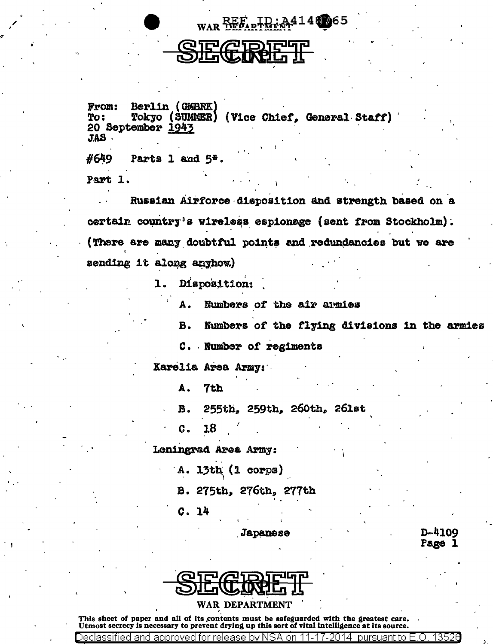

## **GRIE**

Berlin (GMBRK) **From:** Tokyo (SUMMER) (Vice Chief, General Staff) To: 20 September 1943 JAS.

#649 Parts 1 and 5\*. Part 1.

Russian Airforce disposition and strength based on a certain country's wireless espionage (sent from Stockholm). (There are many doubtful points and redundancies but we are sending it along anyhow.)

> Disposition: 1.

> > Numbers of the air armies А.

Numbers of the flying divisions in the armies **B.** 

C. Number of regiments

Karelia Area Army:

A. 7th

**B.** 255th, 259th, 260th, 261st

18 C.

Leningrad Area Army:

A. 13th (1 corps)

B. 275th, 276th, 277th

C. 14

Dec

Japanese

**D-4109** Page 1

3526



This sheet of paper and all of its contents must be safeguarded with the greatest care. Utmost secrecy is necessary to prevent drying up this sort of vital intelligence at its source.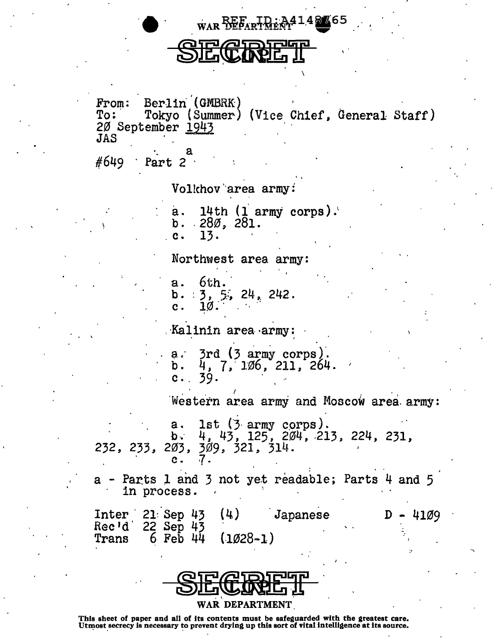WAR REEART REAL 4 K65

Berlin (GMBRK) From: Tokyo (Summer) (Vice Chief, General Staff)  $T_0$ : 20 September 1943 **JAS** 

#649 Part 2

Volkhov area army:

14th  $(1 \text{ army corps})$ . a.  $b. 280.281.$ 13. c.

Northwest area army:

 $6th.$  $a<sub>1</sub>$ b.  $3, 5, 24, 242$ .<br>c. 10.

Kalinin area army:

3rd (3 army corps).<br>4, 7, 106, 211, 264.  $a :$ h. 39.  $\mathbf{c}$ .

Western area army and Moscow area army:

1st (3 army corps).<br>4, 43, 125, 204, 213, 224, 231,  $a.$  $b 232, 233, 203, 309, 321, 314.$ 

Parts 1 and 3 not yet readable; Parts 4 and 5 in process.

| $Inter$ 21 Sep 43        |  | (4)                 | Japanese |  | $D - 4109$ |
|--------------------------|--|---------------------|----------|--|------------|
| Rec'd 22 Sep 43<br>Trans |  | 6 Feb $44$ (1028-1) |          |  |            |

| <b>QIT AIDITUP</b> |
|--------------------|
| <u>OILTRANDI</u>   |
| WAR DEPARTMENT     |

This sheet of paper and all of its contents must be safeguarded with the greatest care. Utmost secrecy is necessary to prevent drying up this sort of vital intelligence at its source.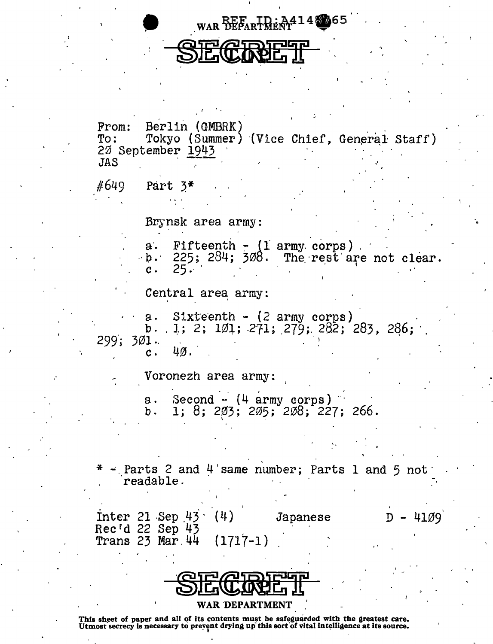

| From: Berlin (GMBRK)<br>To: Tokyo (Summer) (Vice Chief, General Staff)<br>20 September 1943<br><b>JAS</b> |  |  |  |  |  |  |  |
|-----------------------------------------------------------------------------------------------------------|--|--|--|--|--|--|--|
| $#649$ Part $3*$                                                                                          |  |  |  |  |  |  |  |
|                                                                                                           |  |  |  |  |  |  |  |
| Brynsk area army:                                                                                         |  |  |  |  |  |  |  |
| a. Fifteenth - (1 army corps)<br>b. 225; 284; 308. The rest are not clear.<br>c. 25.                      |  |  |  |  |  |  |  |
| Central area army:                                                                                        |  |  |  |  |  |  |  |
| a. Sixteenth - (2 army corps)<br>b. .1; 2; 1Ø1; 271; 279; 282; 283, 286;<br>299; 301.                     |  |  |  |  |  |  |  |
| c. $4\%$ .                                                                                                |  |  |  |  |  |  |  |
| Voronezh area army:                                                                                       |  |  |  |  |  |  |  |
| a. Second - (4 army corps)<br>1; 8; 203; 205; 208; 227; 266.<br>b.                                        |  |  |  |  |  |  |  |
|                                                                                                           |  |  |  |  |  |  |  |
| $-$ Parts 2 and 4 same number; Parts 1 and 5 not<br>readable.                                             |  |  |  |  |  |  |  |
|                                                                                                           |  |  |  |  |  |  |  |
| Inter 21 Sep $43 \cdot (4)$<br>$D - 4109$<br>Japanese<br>Rec'd 22 Sep 43                                  |  |  |  |  |  |  |  |
| Trans $23$ Mar. $44$<br>$(1717-1)$                                                                        |  |  |  |  |  |  |  |



This sheet of paper and all of its contents must be safeguarded with the greatest care.<br>Utmost secrecy is necessary to prevent drying up this sort of vital intelligence at its source.

 $\overline{1}$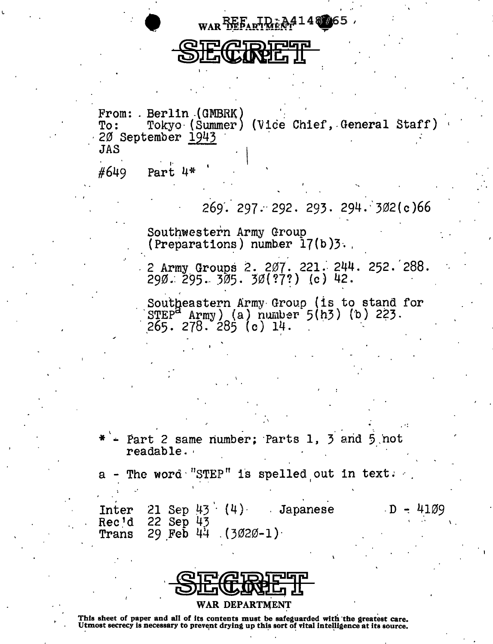

 $_{\text{WAR}}$ REE, HR... 4148.065

• f ••

<u>DIE<sup>I</sup>CIVAE II</u>

 $\mathbf{I}$ 

From: .Berlin (GMBRK)<br>To: Tokyo (Summer) (Vice Chief, General Staff) 20 September 1943<br>JAS  $JAS$  .  $\overline{S}$  . If  $\overline{S}$  .  $\overline{S}$ 

#649 Part 4\*

-·

 $269.297 - 292.293.294 - 302(c)66$ 

Southwestern Army Group<br>(Preparations) number 17(b)3.,

2 Army Groups 2. 207. 221. 244. 252. 288. 290.: 295 ... 305. 3'0(?7~) .(c) 42. ·

Southeastern Army Group (is to stand for  $\text{STEP}^A$  Army) (a) number 5(h3) (b) 223. 265. 278. 285 (c) 14.

Part 2 same number; Parts 1, 3 and  $5$  not readable. ·

 $\mathbb{R}$ 

 $a$  - The word "STEP" is spelled out in text.

Inter 21 Sep  $43 \cdot (4)$  Japanese<br>Rec'd 22 Sep  $43$ Rec'd 22 Sep 43<br>Trans 29 Feb 44  $29$  Feb 44  $(3020-1)$ 

· D -: 4.109

 $\mathbf{v}$ 

WAR DEPARTMENT

This sheet of paper and all of its contents must be safeguarded with 'the greatest care. Utmost secrecy is necessary to prevent drying up this sort of vital intelligence at its source.